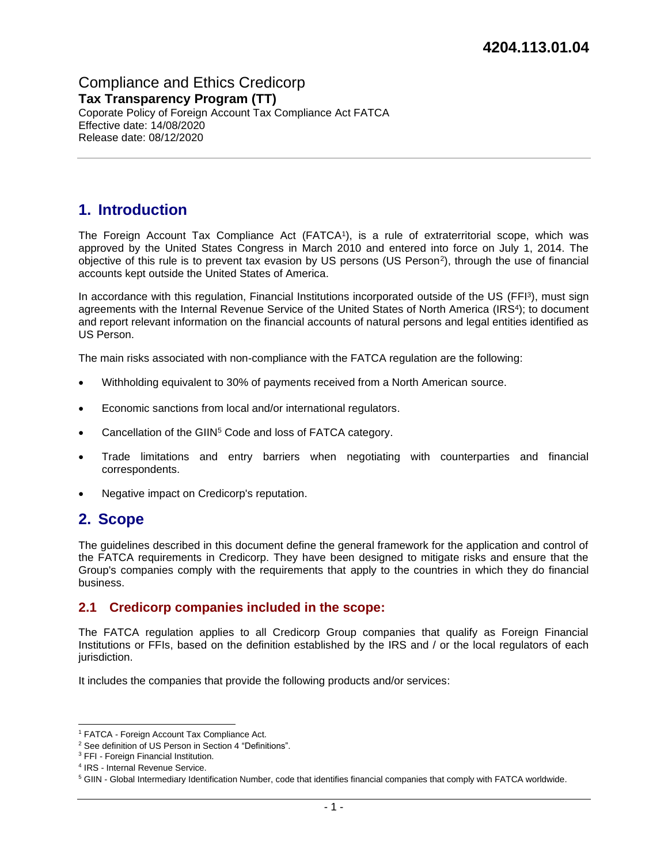Compliance and Ethics Credicorp **Tax Transparency Program (TT)**  Coporate Policy of Foreign Account Tax Compliance Act FATCA Effective date: 14/08/2020 Release date: 08/12/2020

# **1. Introduction**

The Foreign Account Tax Compliance Act (FATCA<sup>1</sup>), is a rule of extraterritorial scope, which was approved by the United States Congress in March 2010 and entered into force on July 1, 2014. The objective of this rule is to prevent tax evasion by US persons (US Person<sup>2</sup>), through the use of financial accounts kept outside the United States of America.

In accordance with this regulation, Financial Institutions incorporated outside of the US (FFI3), must sign agreements with the Internal Revenue Service of the United States of North America (IRS<sup>4</sup>); to document and report relevant information on the financial accounts of natural persons and legal entities identified as US Person.

The main risks associated with non-compliance with the FATCA regulation are the following:

- Withholding equivalent to 30% of payments received from a North American source.
- Economic sanctions from local and/or international regulators.
- Cancellation of the GIIN<sup>5</sup> Code and loss of FATCA category.
- Trade limitations and entry barriers when negotiating with counterparties and financial correspondents.
- Negative impact on Credicorp's reputation.

## **2. Scope**

The guidelines described in this document define the general framework for the application and control of the FATCA requirements in Credicorp. They have been designed to mitigate risks and ensure that the Group's companies comply with the requirements that apply to the countries in which they do financial business.

#### **2.1 Credicorp companies included in the scope:**

The FATCA regulation applies to all Credicorp Group companies that qualify as Foreign Financial Institutions or FFIs, based on the definition established by the IRS and / or the local regulators of each jurisdiction.

It includes the companies that provide the following products and/or services:

<sup>1</sup> FATCA - Foreign Account Tax Compliance Act.

<sup>2</sup> See definition of US Person in Section 4 "Definitions".

<sup>3</sup> FFI - Foreign Financial Institution.

<sup>4</sup> IRS - Internal Revenue Service.

<sup>5</sup> GIIN - Global Intermediary Identification Number, code that identifies financial companies that comply with FATCA worldwide.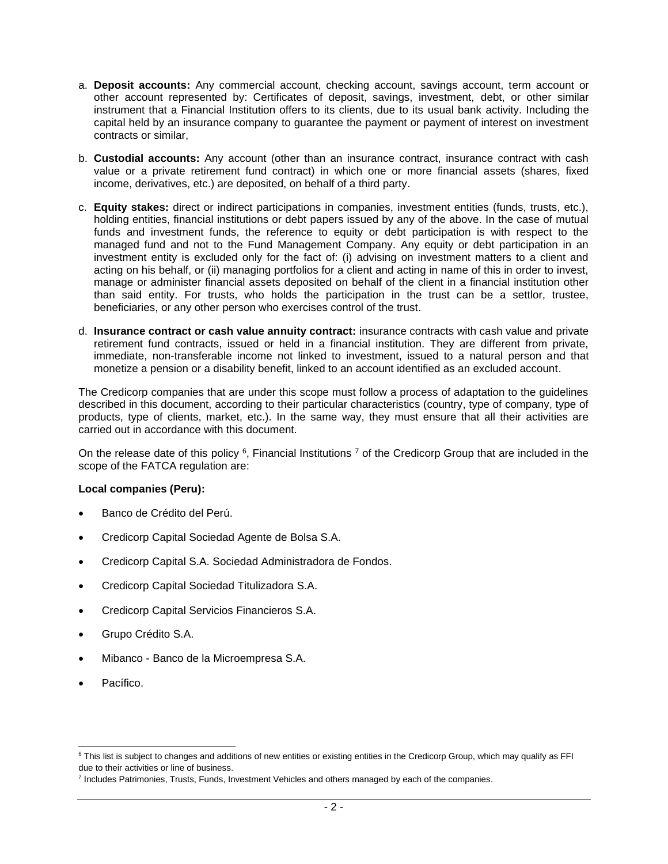- a. **Deposit accounts:** Any commercial account, checking account, savings account, term account or other account represented by: Certificates of deposit, savings, investment, debt, or other similar instrument that a Financial Institution offers to its clients, due to its usual bank activity. Including the capital held by an insurance company to guarantee the payment or payment of interest on investment contracts or similar,
- b. **Custodial accounts:** Any account (other than an insurance contract, insurance contract with cash value or a private retirement fund contract) in which one or more financial assets (shares, fixed income, derivatives, etc.) are deposited, on behalf of a third party.
- c. **Equity stakes:** direct or indirect participations in companies, investment entities (funds, trusts, etc.), holding entities, financial institutions or debt papers issued by any of the above. In the case of mutual funds and investment funds, the reference to equity or debt participation is with respect to the managed fund and not to the Fund Management Company. Any equity or debt participation in an investment entity is excluded only for the fact of: (i) advising on investment matters to a client and acting on his behalf, or (ii) managing portfolios for a client and acting in name of this in order to invest, manage or administer financial assets deposited on behalf of the client in a financial institution other than said entity. For trusts, who holds the participation in the trust can be a settlor, trustee, beneficiaries, or any other person who exercises control of the trust.
- d. **Insurance contract or cash value annuity contract:** insurance contracts with cash value and private retirement fund contracts, issued or held in a financial institution. They are different from private, immediate, non-transferable income not linked to investment, issued to a natural person and that monetize a pension or a disability benefit, linked to an account identified as an excluded account.

The Credicorp companies that are under this scope must follow a process of adaptation to the guidelines described in this document, according to their particular characteristics (country, type of company, type of products, type of clients, market, etc.). In the same way, they must ensure that all their activities are carried out in accordance with this document.

On the release date of this policy  $6$ , Financial Institutions  $7$  of the Credicorp Group that are included in the scope of the FATCA regulation are:

#### **Local companies (Peru):**

- Banco de Crédito del Perú.
- Credicorp Capital Sociedad Agente de Bolsa S.A.
- Credicorp Capital S.A. Sociedad Administradora de Fondos.
- Credicorp Capital Sociedad Titulizadora S.A.
- Credicorp Capital Servicios Financieros S.A.
- Grupo Crédito S.A.
- Mibanco Banco de la Microempresa S.A.
- Pacífico.

<sup>&</sup>lt;sup>6</sup> This list is subject to changes and additions of new entities or existing entities in the Credicorp Group, which may qualify as FFI due to their activities or line of business.

<sup>7</sup> Includes Patrimonies, Trusts, Funds, Investment Vehicles and others managed by each of the companies.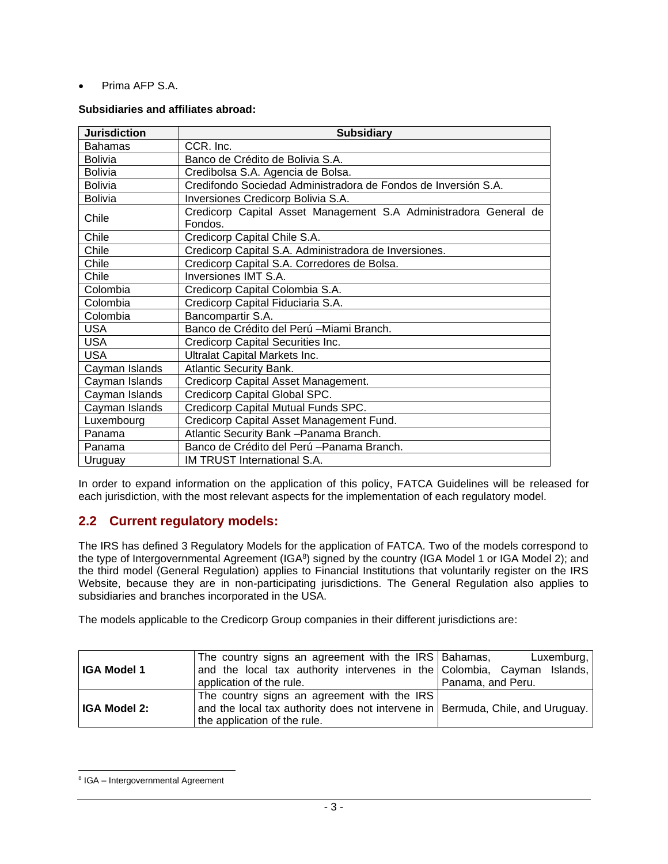• Prima AFP S.A.

#### **Subsidiaries and affiliates abroad:**

| <b>Jurisdiction</b> | <b>Subsidiary</b>                                                           |  |
|---------------------|-----------------------------------------------------------------------------|--|
| <b>Bahamas</b>      | CCR. Inc.                                                                   |  |
| <b>Bolivia</b>      | Banco de Crédito de Bolivia S.A.                                            |  |
| <b>Bolivia</b>      | Credibolsa S.A. Agencia de Bolsa.                                           |  |
| <b>Bolivia</b>      | Credifondo Sociedad Administradora de Fondos de Inversión S.A.              |  |
| <b>Bolivia</b>      | Inversiones Credicorp Bolivia S.A.                                          |  |
| Chile               | Credicorp Capital Asset Management S.A Administradora General de<br>Fondos. |  |
| Chile               | Credicorp Capital Chile S.A.                                                |  |
| Chile               | Credicorp Capital S.A. Administradora de Inversiones.                       |  |
| Chile               | Credicorp Capital S.A. Corredores de Bolsa.                                 |  |
| Chile               | Inversiones IMT S.A.                                                        |  |
| Colombia            | Credicorp Capital Colombia S.A.                                             |  |
| Colombia            | Credicorp Capital Fiduciaria S.A.                                           |  |
| Colombia            | Bancompartir S.A.                                                           |  |
| <b>USA</b>          | Banco de Crédito del Perú -Miami Branch.                                    |  |
| <b>USA</b>          | Credicorp Capital Securities Inc.                                           |  |
| <b>USA</b>          | Ultralat Capital Markets Inc.                                               |  |
| Cayman Islands      | <b>Atlantic Security Bank.</b>                                              |  |
| Cayman Islands      | Credicorp Capital Asset Management.                                         |  |
| Cayman Islands      | Credicorp Capital Global SPC.                                               |  |
| Cayman Islands      | Credicorp Capital Mutual Funds SPC.                                         |  |
| Luxembourg          | Credicorp Capital Asset Management Fund.                                    |  |
| Panama              | Atlantic Security Bank - Panama Branch.                                     |  |
| Panama              | Banco de Crédito del Perú - Panama Branch.                                  |  |
| Uruguay             | <b>IM TRUST International S.A.</b>                                          |  |

In order to expand information on the application of this policy, FATCA Guidelines will be released for each jurisdiction, with the most relevant aspects for the implementation of each regulatory model.

## **2.2 Current regulatory models:**

The IRS has defined 3 Regulatory Models for the application of FATCA. Two of the models correspond to the type of Intergovernmental Agreement (IGA<sup>8</sup>) signed by the country (IGA Model 1 or IGA Model 2); and the third model (General Regulation) applies to Financial Institutions that voluntarily register on the IRS Website, because they are in non-participating jurisdictions. The General Regulation also applies to subsidiaries and branches incorporated in the USA.

The models applicable to the Credicorp Group companies in their different jurisdictions are:

|                    | The country signs an agreement with the IRS   Bahamas,                         | Luxemburg,        |
|--------------------|--------------------------------------------------------------------------------|-------------------|
| <b>IGA Model 1</b> | and the local tax authority intervenes in the Colombia, Cayman Islands,        |                   |
|                    | application of the rule.                                                       | Panama, and Peru. |
|                    | The country signs an agreement with the IRS                                    |                   |
| IGA Model 2:       | and the local tax authority does not intervene in Bermuda, Chile, and Uruguay. |                   |
|                    | the application of the rule.                                                   |                   |

<sup>8</sup> IGA – Intergovernmental Agreement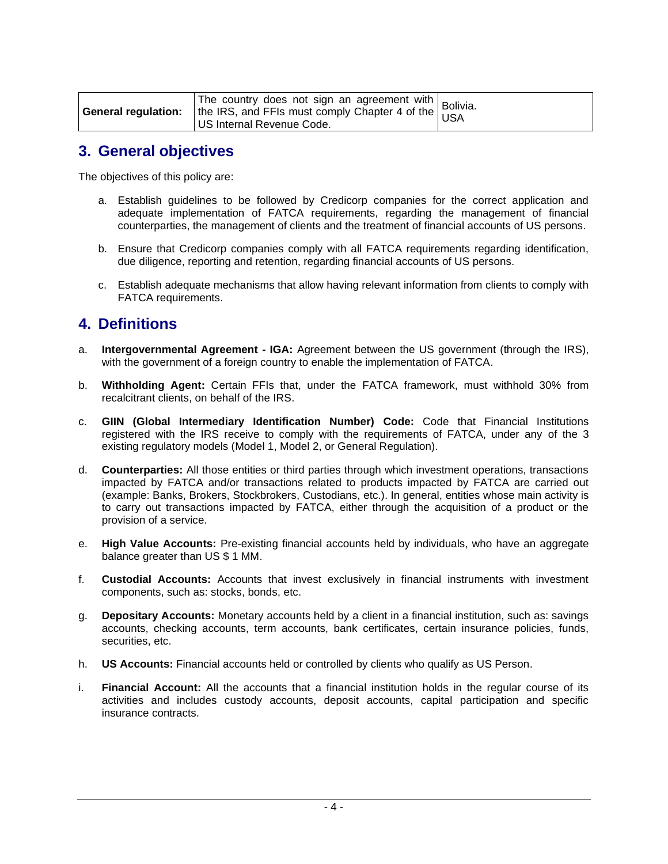|  | <b>Example 19 The country does not sign an agreement with</b> Bolivia.<br><b>Example 19 September 14 of the URS, and FFIs must comply Chapter 4 of the USA</b><br>US Internal Revenue Code. |  |
|--|---------------------------------------------------------------------------------------------------------------------------------------------------------------------------------------------|--|
|--|---------------------------------------------------------------------------------------------------------------------------------------------------------------------------------------------|--|

# **3. General objectives**

The objectives of this policy are:

- a. Establish guidelines to be followed by Credicorp companies for the correct application and adequate implementation of FATCA requirements, regarding the management of financial counterparties, the management of clients and the treatment of financial accounts of US persons.
- b. Ensure that Credicorp companies comply with all FATCA requirements regarding identification, due diligence, reporting and retention, regarding financial accounts of US persons.
- c. Establish adequate mechanisms that allow having relevant information from clients to comply with FATCA requirements.

# **4. Definitions**

- a. **Intergovernmental Agreement - IGA:** Agreement between the US government (through the IRS), with the government of a foreign country to enable the implementation of FATCA.
- b. **Withholding Agent:** Certain FFIs that, under the FATCA framework, must withhold 30% from recalcitrant clients, on behalf of the IRS.
- c. **GIIN (Global Intermediary Identification Number) Code:** Code that Financial Institutions registered with the IRS receive to comply with the requirements of FATCA, under any of the 3 existing regulatory models (Model 1, Model 2, or General Regulation).
- d. **Counterparties:** All those entities or third parties through which investment operations, transactions impacted by FATCA and/or transactions related to products impacted by FATCA are carried out (example: Banks, Brokers, Stockbrokers, Custodians, etc.). In general, entities whose main activity is to carry out transactions impacted by FATCA, either through the acquisition of a product or the provision of a service.
- e. **High Value Accounts:** Pre-existing financial accounts held by individuals, who have an aggregate balance greater than US \$ 1 MM.
- f. **Custodial Accounts:** Accounts that invest exclusively in financial instruments with investment components, such as: stocks, bonds, etc.
- g. **Depositary Accounts:** Monetary accounts held by a client in a financial institution, such as: savings accounts, checking accounts, term accounts, bank certificates, certain insurance policies, funds, securities, etc.
- h. **US Accounts:** Financial accounts held or controlled by clients who qualify as US Person.
- i. **Financial Account:** All the accounts that a financial institution holds in the regular course of its activities and includes custody accounts, deposit accounts, capital participation and specific insurance contracts.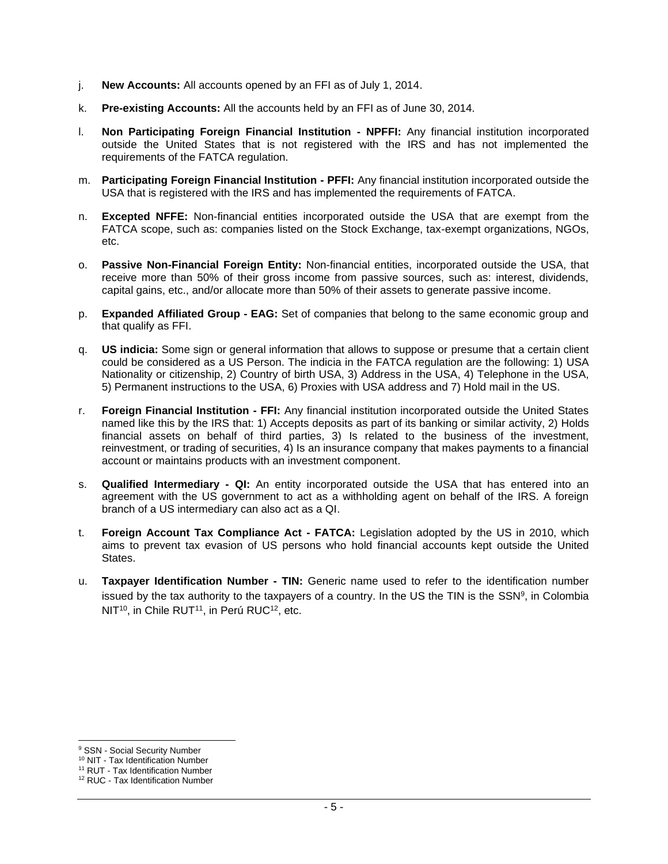- j. **New Accounts:** All accounts opened by an FFI as of July 1, 2014.
- k. **Pre-existing Accounts:** All the accounts held by an FFI as of June 30, 2014.
- l. **Non Participating Foreign Financial Institution - NPFFI:** Any financial institution incorporated outside the United States that is not registered with the IRS and has not implemented the requirements of the FATCA regulation.
- m. **Participating Foreign Financial Institution - PFFI:** Any financial institution incorporated outside the USA that is registered with the IRS and has implemented the requirements of FATCA.
- n. **Excepted NFFE:** Non-financial entities incorporated outside the USA that are exempt from the FATCA scope, such as: companies listed on the Stock Exchange, tax-exempt organizations, NGOs, etc.
- o. **Passive Non-Financial Foreign Entity:** Non-financial entities, incorporated outside the USA, that receive more than 50% of their gross income from passive sources, such as: interest, dividends, capital gains, etc., and/or allocate more than 50% of their assets to generate passive income.
- p. **Expanded Affiliated Group - EAG:** Set of companies that belong to the same economic group and that qualify as FFI.
- q. **US indicia:** Some sign or general information that allows to suppose or presume that a certain client could be considered as a US Person. The indicia in the FATCA regulation are the following: 1) USA Nationality or citizenship, 2) Country of birth USA, 3) Address in the USA, 4) Telephone in the USA, 5) Permanent instructions to the USA, 6) Proxies with USA address and 7) Hold mail in the US.
- r. **Foreign Financial Institution - FFI:** Any financial institution incorporated outside the United States named like this by the IRS that: 1) Accepts deposits as part of its banking or similar activity, 2) Holds financial assets on behalf of third parties, 3) Is related to the business of the investment, reinvestment, or trading of securities, 4) Is an insurance company that makes payments to a financial account or maintains products with an investment component.
- s. **Qualified Intermediary - QI:** An entity incorporated outside the USA that has entered into an agreement with the US government to act as a withholding agent on behalf of the IRS. A foreign branch of a US intermediary can also act as a QI.
- t. **Foreign Account Tax Compliance Act - FATCA:** Legislation adopted by the US in 2010, which aims to prevent tax evasion of US persons who hold financial accounts kept outside the United States.
- u. **Taxpayer Identification Number - TIN:** Generic name used to refer to the identification number issued by the tax authority to the taxpayers of a country. In the US the TIN is the  $SSN<sup>9</sup>$ , in Colombia NIT<sup>10</sup>, in Chile RUT<sup>11</sup>, in Perú RUC<sup>12</sup>, etc.

<sup>&</sup>lt;sup>9</sup> SSN - Social Security Number

<sup>&</sup>lt;sup>10</sup> NIT - Tax Identification Number

<sup>&</sup>lt;sup>11</sup> RUT - Tax Identification Number

<sup>&</sup>lt;sup>12</sup> RUC - Tax Identification Number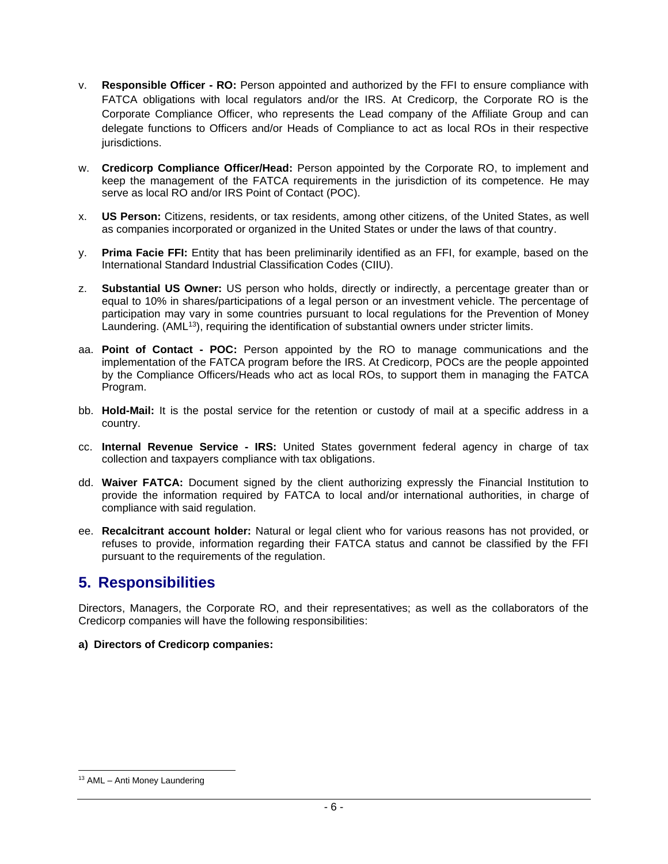- v. **Responsible Officer - RO:** Person appointed and authorized by the FFI to ensure compliance with FATCA obligations with local regulators and/or the IRS. At Credicorp, the Corporate RO is the Corporate Compliance Officer, who represents the Lead company of the Affiliate Group and can delegate functions to Officers and/or Heads of Compliance to act as local ROs in their respective jurisdictions.
- w. **Credicorp Compliance Officer/Head:** Person appointed by the Corporate RO, to implement and keep the management of the FATCA requirements in the jurisdiction of its competence. He may serve as local RO and/or IRS Point of Contact (POC).
- x. **US Person:** Citizens, residents, or tax residents, among other citizens, of the United States, as well as companies incorporated or organized in the United States or under the laws of that country.
- y. **Prima Facie FFI:** Entity that has been preliminarily identified as an FFI, for example, based on the International Standard Industrial Classification Codes (CIIU).
- z. **Substantial US Owner:** US person who holds, directly or indirectly, a percentage greater than or equal to 10% in shares/participations of a legal person or an investment vehicle. The percentage of participation may vary in some countries pursuant to local regulations for the Prevention of Money Laundering. (AML<sup>13</sup>), requiring the identification of substantial owners under stricter limits.
- aa. **Point of Contact - POC:** Person appointed by the RO to manage communications and the implementation of the FATCA program before the IRS. At Credicorp, POCs are the people appointed by the Compliance Officers/Heads who act as local ROs, to support them in managing the FATCA Program.
- bb. **Hold-Mail:** It is the postal service for the retention or custody of mail at a specific address in a country.
- cc. **Internal Revenue Service - IRS:** United States government federal agency in charge of tax collection and taxpayers compliance with tax obligations.
- dd. **Waiver FATCA:** Document signed by the client authorizing expressly the Financial Institution to provide the information required by FATCA to local and/or international authorities, in charge of compliance with said regulation.
- ee. **Recalcitrant account holder:** Natural or legal client who for various reasons has not provided, or refuses to provide, information regarding their FATCA status and cannot be classified by the FFI pursuant to the requirements of the regulation.

## **5. Responsibilities**

Directors, Managers, the Corporate RO, and their representatives; as well as the collaborators of the Credicorp companies will have the following responsibilities:

#### **a) Directors of Credicorp companies:**

<sup>13</sup> AML – Anti Money Laundering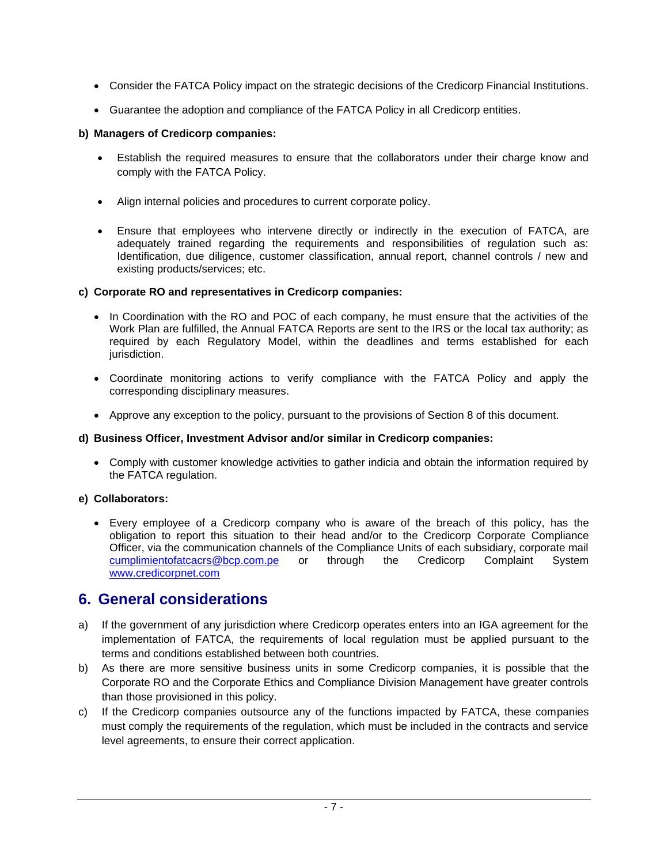- Consider the FATCA Policy impact on the strategic decisions of the Credicorp Financial Institutions.
- Guarantee the adoption and compliance of the FATCA Policy in all Credicorp entities.

#### **b) Managers of Credicorp companies:**

- Establish the required measures to ensure that the collaborators under their charge know and comply with the FATCA Policy.
- Align internal policies and procedures to current corporate policy.
- Ensure that employees who intervene directly or indirectly in the execution of FATCA, are adequately trained regarding the requirements and responsibilities of regulation such as: Identification, due diligence, customer classification, annual report, channel controls / new and existing products/services; etc.

#### **c) Corporate RO and representatives in Credicorp companies:**

- In Coordination with the RO and POC of each company, he must ensure that the activities of the Work Plan are fulfilled, the Annual FATCA Reports are sent to the IRS or the local tax authority; as required by each Regulatory Model, within the deadlines and terms established for each jurisdiction.
- Coordinate monitoring actions to verify compliance with the FATCA Policy and apply the corresponding disciplinary measures.
- Approve any exception to the policy, pursuant to the provisions of Section 8 of this document.

#### **d) Business Officer, Investment Advisor and/or similar in Credicorp companies:**

• Comply with customer knowledge activities to gather indicia and obtain the information required by the FATCA regulation.

#### **e) Collaborators:**

• Every employee of a Credicorp company who is aware of the breach of this policy, has the obligation to report this situation to their head and/or to the Credicorp Corporate Compliance Officer, via the communication channels of the Compliance Units of each subsidiary, corporate mail [cumplimientofatcacrs@bcp.com.pe](mailto:cumplimientofatcacrs@bcp.com.pe) or through the Credicorp Complaint System [www.credicorpnet.com](http://www.credicorpnet.com/)

# **6. General considerations**

- a) If the government of any jurisdiction where Credicorp operates enters into an IGA agreement for the implementation of FATCA, the requirements of local regulation must be applied pursuant to the terms and conditions established between both countries.
- b) As there are more sensitive business units in some Credicorp companies, it is possible that the Corporate RO and the Corporate Ethics and Compliance Division Management have greater controls than those provisioned in this policy.
- c) If the Credicorp companies outsource any of the functions impacted by FATCA, these companies must comply the requirements of the regulation, which must be included in the contracts and service level agreements, to ensure their correct application.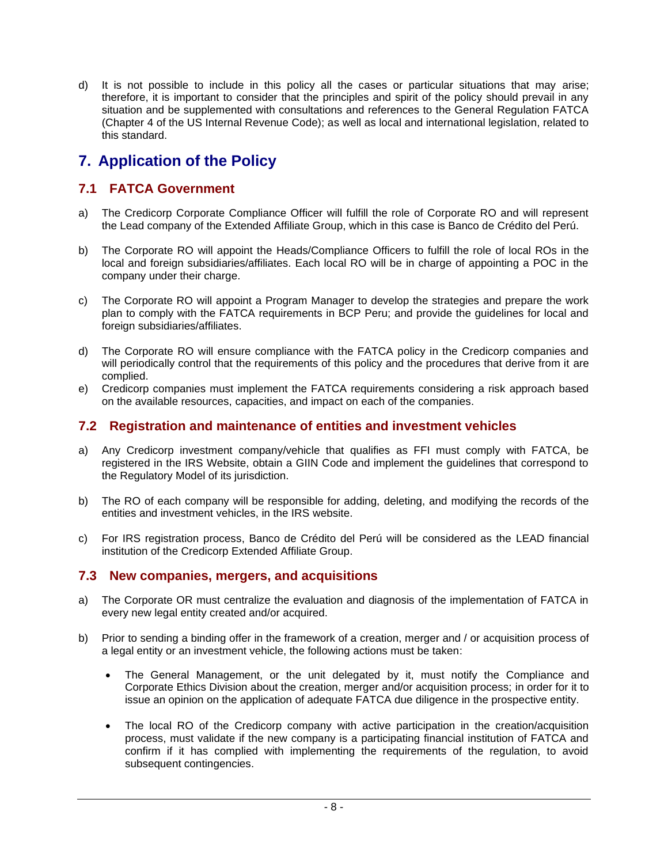d) It is not possible to include in this policy all the cases or particular situations that may arise; therefore, it is important to consider that the principles and spirit of the policy should prevail in any situation and be supplemented with consultations and references to the General Regulation FATCA (Chapter 4 of the US Internal Revenue Code); as well as local and international legislation, related to this standard.

# **7. Application of the Policy**

## **7.1 FATCA Government**

- a) The Credicorp Corporate Compliance Officer will fulfill the role of Corporate RO and will represent the Lead company of the Extended Affiliate Group, which in this case is Banco de Crédito del Perú.
- b) The Corporate RO will appoint the Heads/Compliance Officers to fulfill the role of local ROs in the local and foreign subsidiaries/affiliates. Each local RO will be in charge of appointing a POC in the company under their charge.
- c) The Corporate RO will appoint a Program Manager to develop the strategies and prepare the work plan to comply with the FATCA requirements in BCP Peru; and provide the guidelines for local and foreign subsidiaries/affiliates.
- d) The Corporate RO will ensure compliance with the FATCA policy in the Credicorp companies and will periodically control that the requirements of this policy and the procedures that derive from it are complied.
- e) Credicorp companies must implement the FATCA requirements considering a risk approach based on the available resources, capacities, and impact on each of the companies.

#### **7.2 Registration and maintenance of entities and investment vehicles**

- a) Any Credicorp investment company/vehicle that qualifies as FFI must comply with FATCA, be registered in the IRS Website, obtain a GIIN Code and implement the guidelines that correspond to the Regulatory Model of its jurisdiction.
- b) The RO of each company will be responsible for adding, deleting, and modifying the records of the entities and investment vehicles, in the IRS website.
- c) For IRS registration process, Banco de Crédito del Perú will be considered as the LEAD financial institution of the Credicorp Extended Affiliate Group.

#### **7.3 New companies, mergers, and acquisitions**

- a) The Corporate OR must centralize the evaluation and diagnosis of the implementation of FATCA in every new legal entity created and/or acquired.
- b) Prior to sending a binding offer in the framework of a creation, merger and / or acquisition process of a legal entity or an investment vehicle, the following actions must be taken:
	- The General Management, or the unit delegated by it, must notify the Compliance and Corporate Ethics Division about the creation, merger and/or acquisition process; in order for it to issue an opinion on the application of adequate FATCA due diligence in the prospective entity.
	- The local RO of the Credicorp company with active participation in the creation/acquisition process, must validate if the new company is a participating financial institution of FATCA and confirm if it has complied with implementing the requirements of the regulation, to avoid subsequent contingencies.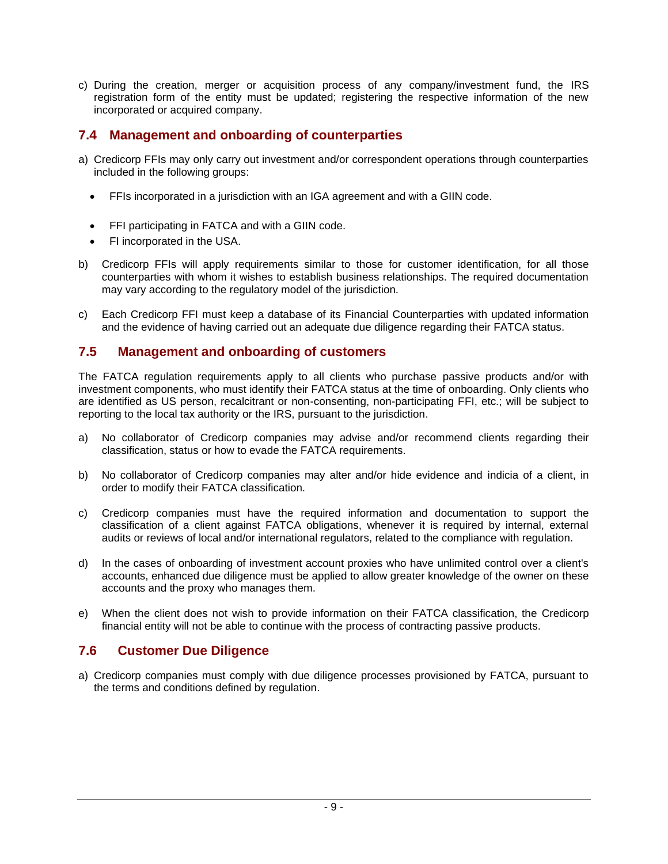c) During the creation, merger or acquisition process of any company/investment fund, the IRS registration form of the entity must be updated; registering the respective information of the new incorporated or acquired company.

## **7.4 Management and onboarding of counterparties**

- a) Credicorp FFIs may only carry out investment and/or correspondent operations through counterparties included in the following groups:
	- FFIs incorporated in a jurisdiction with an IGA agreement and with a GIIN code.
	- FFI participating in FATCA and with a GIIN code.
	- FI incorporated in the USA.
- b) Credicorp FFIs will apply requirements similar to those for customer identification, for all those counterparties with whom it wishes to establish business relationships. The required documentation may vary according to the regulatory model of the jurisdiction.
- c) Each Credicorp FFI must keep a database of its Financial Counterparties with updated information and the evidence of having carried out an adequate due diligence regarding their FATCA status.

## **7.5 Management and onboarding of customers**

The FATCA regulation requirements apply to all clients who purchase passive products and/or with investment components, who must identify their FATCA status at the time of onboarding. Only clients who are identified as US person, recalcitrant or non-consenting, non-participating FFI, etc.; will be subject to reporting to the local tax authority or the IRS, pursuant to the jurisdiction.

- a) No collaborator of Credicorp companies may advise and/or recommend clients regarding their classification, status or how to evade the FATCA requirements.
- b) No collaborator of Credicorp companies may alter and/or hide evidence and indicia of a client, in order to modify their FATCA classification.
- c) Credicorp companies must have the required information and documentation to support the classification of a client against FATCA obligations, whenever it is required by internal, external audits or reviews of local and/or international regulators, related to the compliance with regulation.
- d) In the cases of onboarding of investment account proxies who have unlimited control over a client's accounts, enhanced due diligence must be applied to allow greater knowledge of the owner on these accounts and the proxy who manages them.
- e) When the client does not wish to provide information on their FATCA classification, the Credicorp financial entity will not be able to continue with the process of contracting passive products.

## **7.6 Customer Due Diligence**

a) Credicorp companies must comply with due diligence processes provisioned by FATCA, pursuant to the terms and conditions defined by regulation.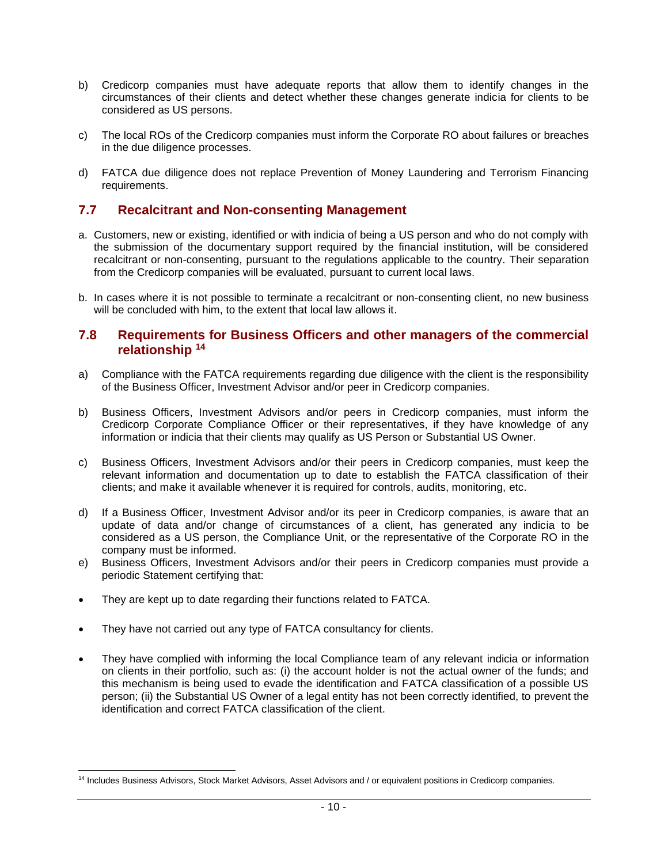- b) Credicorp companies must have adequate reports that allow them to identify changes in the circumstances of their clients and detect whether these changes generate indicia for clients to be considered as US persons.
- c) The local ROs of the Credicorp companies must inform the Corporate RO about failures or breaches in the due diligence processes.
- d) FATCA due diligence does not replace Prevention of Money Laundering and Terrorism Financing requirements.

### **7.7 Recalcitrant and Non-consenting Management**

- a. Customers, new or existing, identified or with indicia of being a US person and who do not comply with the submission of the documentary support required by the financial institution, will be considered recalcitrant or non-consenting, pursuant to the regulations applicable to the country. Their separation from the Credicorp companies will be evaluated, pursuant to current local laws.
- b. In cases where it is not possible to terminate a recalcitrant or non-consenting client, no new business will be concluded with him, to the extent that local law allows it.

#### **7.8 Requirements for Business Officers and other managers of the commercial relationship <sup>14</sup>**

- a) Compliance with the FATCA requirements regarding due diligence with the client is the responsibility of the Business Officer, Investment Advisor and/or peer in Credicorp companies.
- b) Business Officers, Investment Advisors and/or peers in Credicorp companies, must inform the Credicorp Corporate Compliance Officer or their representatives, if they have knowledge of any information or indicia that their clients may qualify as US Person or Substantial US Owner.
- c) Business Officers, Investment Advisors and/or their peers in Credicorp companies, must keep the relevant information and documentation up to date to establish the FATCA classification of their clients; and make it available whenever it is required for controls, audits, monitoring, etc.
- d) If a Business Officer, Investment Advisor and/or its peer in Credicorp companies, is aware that an update of data and/or change of circumstances of a client, has generated any indicia to be considered as a US person, the Compliance Unit, or the representative of the Corporate RO in the company must be informed.
- e) Business Officers, Investment Advisors and/or their peers in Credicorp companies must provide a periodic Statement certifying that:
- They are kept up to date regarding their functions related to FATCA.
- They have not carried out any type of FATCA consultancy for clients.
- They have complied with informing the local Compliance team of any relevant indicia or information on clients in their portfolio, such as: (i) the account holder is not the actual owner of the funds; and this mechanism is being used to evade the identification and FATCA classification of a possible US person; (ii) the Substantial US Owner of a legal entity has not been correctly identified, to prevent the identification and correct FATCA classification of the client.

<sup>14</sup> Includes Business Advisors, Stock Market Advisors, Asset Advisors and / or equivalent positions in Credicorp companies.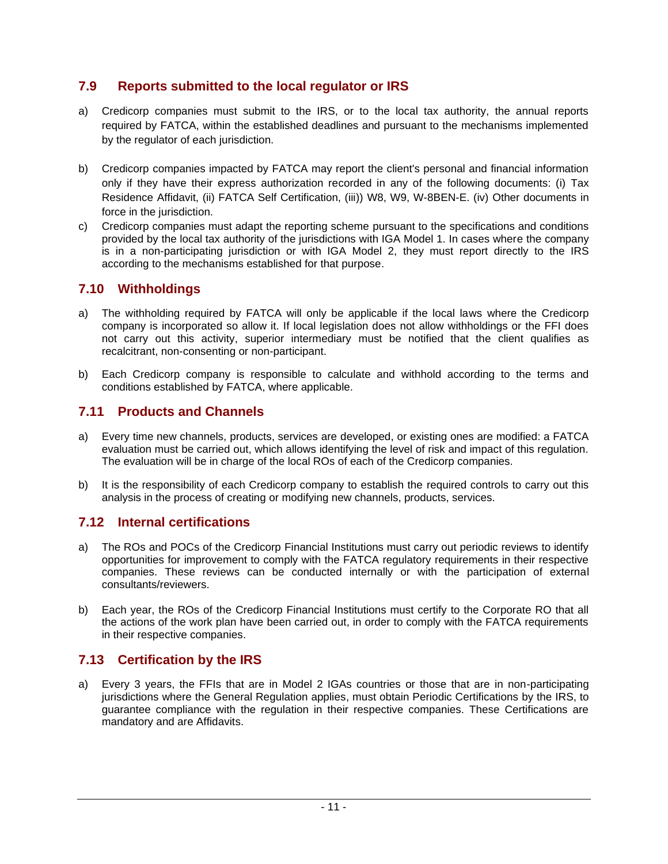## **7.9 Reports submitted to the local regulator or IRS**

- a) Credicorp companies must submit to the IRS, or to the local tax authority, the annual reports required by FATCA, within the established deadlines and pursuant to the mechanisms implemented by the regulator of each jurisdiction.
- b) Credicorp companies impacted by FATCA may report the client's personal and financial information only if they have their express authorization recorded in any of the following documents: (i) Tax Residence Affidavit, (ii) FATCA Self Certification, (iii)) W8, W9, W-8BEN-E. (iv) Other documents in force in the jurisdiction.
- c) Credicorp companies must adapt the reporting scheme pursuant to the specifications and conditions provided by the local tax authority of the jurisdictions with IGA Model 1. In cases where the company is in a non-participating jurisdiction or with IGA Model 2, they must report directly to the IRS according to the mechanisms established for that purpose.

## **7.10 Withholdings**

- a) The withholding required by FATCA will only be applicable if the local laws where the Credicorp company is incorporated so allow it. If local legislation does not allow withholdings or the FFI does not carry out this activity, superior intermediary must be notified that the client qualifies as recalcitrant, non-consenting or non-participant.
- b) Each Credicorp company is responsible to calculate and withhold according to the terms and conditions established by FATCA, where applicable.

## **7.11 Products and Channels**

- a) Every time new channels, products, services are developed, or existing ones are modified: a FATCA evaluation must be carried out, which allows identifying the level of risk and impact of this regulation. The evaluation will be in charge of the local ROs of each of the Credicorp companies.
- b) It is the responsibility of each Credicorp company to establish the required controls to carry out this analysis in the process of creating or modifying new channels, products, services.

## **7.12 Internal certifications**

- a) The ROs and POCs of the Credicorp Financial Institutions must carry out periodic reviews to identify opportunities for improvement to comply with the FATCA regulatory requirements in their respective companies. These reviews can be conducted internally or with the participation of external consultants/reviewers.
- b) Each year, the ROs of the Credicorp Financial Institutions must certify to the Corporate RO that all the actions of the work plan have been carried out, in order to comply with the FATCA requirements in their respective companies.

## **7.13 Certification by the IRS**

a) Every 3 years, the FFIs that are in Model 2 IGAs countries or those that are in non-participating jurisdictions where the General Regulation applies, must obtain Periodic Certifications by the IRS, to guarantee compliance with the regulation in their respective companies. These Certifications are mandatory and are Affidavits.